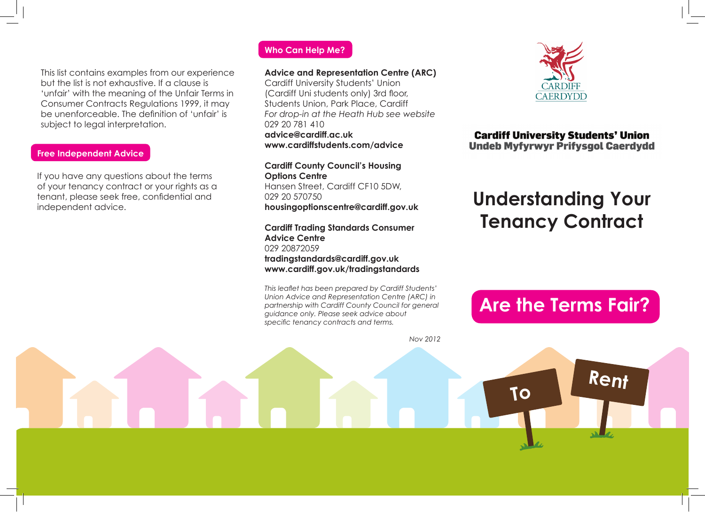This list contains examples from our experience but the list is not exhaustive. If a clause is 'unfair' with the meaning of the Unfair Terms in Consumer Contracts Regulations 1999, it may be unenforceable. The definition of 'unfair' is subject to legal interpretation.

### **Free Independent Advice**

If you have any questions about the terms of your tenancy contract or your rights as a tenant, please seek free, confidential and independent advice.

### **Who Can Help Me?**

#### **Advice and Representation Centre (ARC)**

Cardiff University Students' Union (Cardiff Uni students only) 3rd floor, Students Union, Park Place, Cardiff *For drop-in at the Heath Hub see website* 029 20 781 410 **advice@cardiff.ac.uk www.cardiffstudents.com/advice**

**Cardiff County Council's Housing Options Centre** Hansen Street, Cardiff CF10 5DW, 029 20 570750 **housingoptionscentre@cardiff.gov.uk**

### **Cardiff Trading Standards Consumer Advice Centre** 029 20872059

**tradingstandards@cardiff.gov.uk www.cardiff.gov.uk/tradingstandards**

*This leaflet has been prepared by Cardiff Students' Union Advice and Representation Centre (ARC) in partnership with Cardiff County Council for general guidance only. Please seek advice about specific tenancy contracts and terms.*

*Nov 2012*



### **Cardiff University Students' Union Undeb Myfyrwyr Prifysgol Caerdydd**

# **Understanding Your Tenancy Contract**

# **Are the Terms Fair?**

**To Rent**